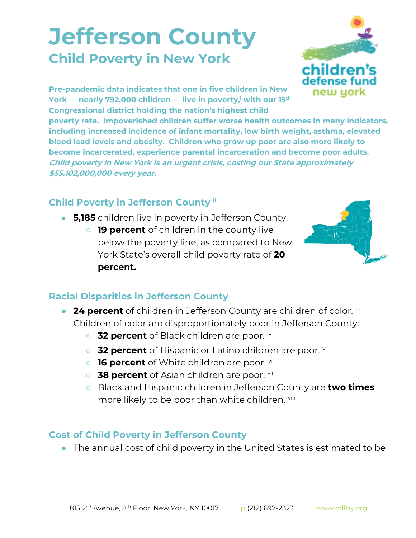## **Jefferson County Child Poverty in New York**



**Pre-pandemic data indicates that one in five children in New York — nearly 792,000 children — live in poverty,<sup>i</sup> with our 15th Congressional district holding the nation's highest child** 

**poverty rate. Impoverished children suffer worse health outcomes in many indicators, including increased incidence of infant mortality, low birth weight, asthma, elevated blood lead levels and obesity. Children who grow up poor are also more likely to become incarcerated, experience parental incarceration and become poor adults. Child poverty in New York is an urgent crisis, costing our State approximately \$55,102,000,000 every year.**

## **Child Poverty in Jefferson County ii**

- **5,185** children live in poverty in Jefferson County.
	- **19 percent** of children in the county live below the poverty line, as compared to New York State's overall child poverty rate of **20 percent.**



## **Racial Disparities in Jefferson County**

- **24 percent** of children in Jefferson County are children of color. iii Children of color are disproportionately poor in Jefferson County:
	- **32 percent** of Black children are poor. iv
	- **32 percent** of Hispanic or Latino children are poor.
	- **16 percent** of White children are poor. <sup>vi</sup>
	- 38 percent of Asian children are poor. <sup>vii</sup>
	- Black and Hispanic children in Jefferson County are **two times**  more likely to be poor than white children. Vili

## **Cost of Child Poverty in Jefferson County**

● The annual cost of child poverty in the United States is estimated to be